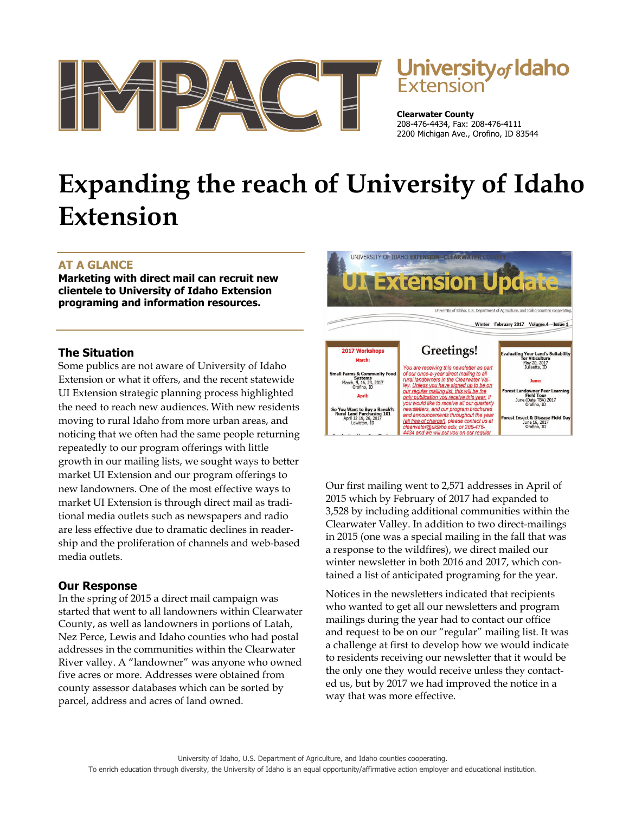

# **University of Idaho**<br>Extension

**Clearwater County**  208-476-4434, Fax: 208-476-4111 2200 Michigan Ave., Orofino, ID 83544

# **Expanding the reach of University of Idaho Extension**

## **AT A GLANCE**

**Marketing with direct mail can recruit new clientele to University of Idaho Extension programing and information resources.** 

#### **The Situation**

Some publics are not aware of University of Idaho Extension or what it offers, and the recent statewide UI Extension strategic planning process highlighted the need to reach new audiences. With new residents moving to rural Idaho from more urban areas, and noticing that we often had the same people returning repeatedly to our program offerings with little growth in our mailing lists, we sought ways to better market UI Extension and our program offerings to new landowners. One of the most effective ways to market UI Extension is through direct mail as traditional media outlets such as newspapers and radio are less effective due to dramatic declines in readership and the proliferation of channels and web-based media outlets.

## **Our Response**

In the spring of 2015 a direct mail campaign was started that went to all landowners within Clearwater County, as well as landowners in portions of Latah, Nez Perce, Lewis and Idaho counties who had postal addresses in the communities within the Clearwater River valley. A "landowner" was anyone who owned five acres or more. Addresses were obtained from county assessor databases which can be sorted by parcel, address and acres of land owned.



Our first mailing went to 2,571 addresses in April of 2015 which by February of 2017 had expanded to 3,528 by including additional communities within the Clearwater Valley. In addition to two direct-mailings in 2015 (one was a special mailing in the fall that was a response to the wildfires), we direct mailed our winter newsletter in both 2016 and 2017, which contained a list of anticipated programing for the year.

Notices in the newsletters indicated that recipients who wanted to get all our newsletters and program mailings during the year had to contact our office and request to be on our "regular" mailing list. It was a challenge at first to develop how we would indicate to residents receiving our newsletter that it would be the only one they would receive unless they contacted us, but by 2017 we had improved the notice in a way that was more effective.